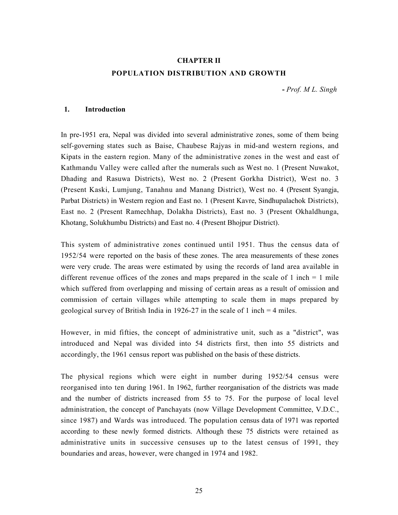# CHAPTER II POPULATION DISTRIBUTION AND GROWTH

- Prof. M L. Singh

### 1. Introduction

In pre-1951 era, Nepal was divided into several administrative zones, some of them being self-governing states such as Baise, Chaubese Rajyas in mid-and western regions, and Kipats in the eastern region. Many of the administrative zones in the west and east of Kathmandu Valley were called after the numerals such as West no. 1 (Present Nuwakot, Dhading and Rasuwa Districts), West no. 2 (Present Gorkha District), West no. 3 (Present Kaski, Lumjung, Tanahnu and Manang District), West no. 4 (Present Syangja, Parbat Districts) in Western region and East no. 1 (Present Kavre, Sindhupalachok Districts), East no. 2 (Present Ramechhap, Dolakha Districts), East no. 3 (Present Okhaldhunga, Khotang, Solukhumbu Districts) and East no. 4 (Present Bhojpur District).

This system of administrative zones continued until 1951. Thus the census data of 1952/54 were reported on the basis of these zones. The area measurements of these zones were very crude. The areas were estimated by using the records of land area available in different revenue offices of the zones and maps prepared in the scale of  $1$  inch  $= 1$  mile which suffered from overlapping and missing of certain areas as a result of omission and commission of certain villages while attempting to scale them in maps prepared by geological survey of British India in 1926-27 in the scale of 1 inch  $=$  4 miles.

However, in mid fifties, the concept of administrative unit, such as a "district", was introduced and Nepal was divided into 54 districts first, then into 55 districts and accordingly, the 1961 census report was published on the basis of these districts.

The physical regions which were eight in number during 1952/54 census were reorganised into ten during 1961. In 1962, further reorganisation of the districts was made and the number of districts increased from 55 to 75. For the purpose of local level administration, the concept of Panchayats (now Village Development Committee, V.D.C., since 1987) and Wards was introduced. The population census data of 1971 was reported according to these newly formed districts. Although these 75 districts were retained as administrative units in successive censuses up to the latest census of 1991, they boundaries and areas, however, were changed in 1974 and 1982.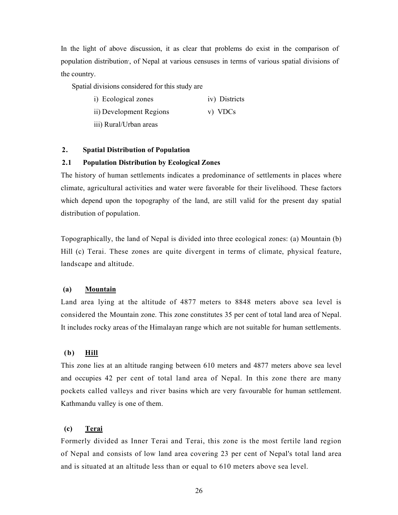In the light of above discussion, it as clear that problems do exist in the comparison of population distribution, , of Nepal at various censuses in terms of various spatial divisions of the country.

Spatial divisions considered for this study are

- i) Ecological zones iv) Districts
- ii) Development Regions v) VDCs

iii) Rural/Urban areas

# 2. Spatial Distribution of Population

# 2.1 Population Distribution by Ecological Zones

The history of human settlements indicates a predominance of settlements in places where climate, agricultural activities and water were favorable for their livelihood. These factors which depend upon the topography of the land, are still valid for the present day spatial distribution of population.

Topographically, the land of Nepal is divided into three ecological zones: (a) Mountain (b) Hill (c) Terai. These zones are quite divergent in terms of climate, physical feature, landscape and altitude.

### (a) Mountain

Land area lying at the altitude of 4877 meters to 8848 meters above sea level is considered the Mountain zone. This zone constitutes 35 per cent of total land area of Nepal. It includes rocky areas of the Himalayan range which are not suitable for human settlements.

# (b) Hill

This zone lies at an altitude ranging between 610 meters and 4877 meters above sea level and occupies 42 per cent of total land area of Nepal. In this zone there are many pockets called valleys and river basins which are very favourable for human settlement. Kathmandu valley is one of them.

# (c) Terai

Formerly divided as Inner Terai and Terai, this zone is the most fertile land region of Nepal and consists of low land area covering 23 per cent of Nepal's total land area and is situated at an altitude less than or equal to 610 meters above sea level.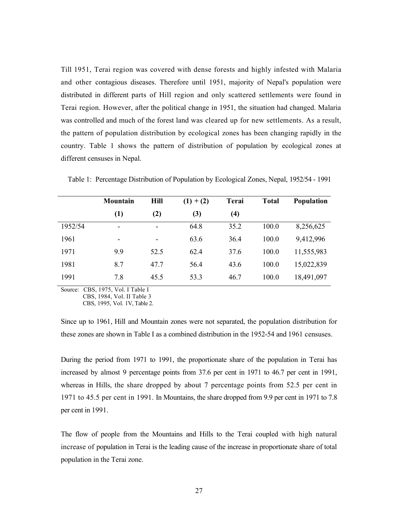Till 1951, Terai region was covered with dense forests and highly infested with Malaria and other contagious diseases. Therefore until 1951, majority of Nepal's population were distributed in different parts of Hill region and only scattered settlements were found in Terai region. However, after the political change in 1951, the situation had changed. Malaria was controlled and much of the forest land was cleared up for new settlements. As a result, the pattern of population distribution by ecological zones has been changing rapidly in the country. Table 1 shows the pattern of distribution of population by ecological zones at different censuses in Nepal.

|         | Mountain                     | <b>Hill</b>              | $(1) + (2)$ | Terai            | <b>Total</b> | <b>Population</b> |
|---------|------------------------------|--------------------------|-------------|------------------|--------------|-------------------|
|         | (1)                          | (2)                      | (3)         | $\left(4\right)$ |              |                   |
| 1952/54 | $\overline{\phantom{a}}$     |                          | 64.8        | 35.2             | 100.0        | 8,256,625         |
| 1961    | $\qquad \qquad \blacksquare$ | $\overline{\phantom{a}}$ | 63.6        | 36.4             | 100.0        | 9,412,996         |
| 1971    | 9.9                          | 52.5                     | 62.4        | 37.6             | 100.0        | 11,555,983        |
| 1981    | 8.7                          | 47.7                     | 56.4        | 43.6             | 100.0        | 15,022,839        |
| 1991    | 7.8                          | 45.5                     | 53.3        | 46.7             | 100.0        | 18,491,097        |

Table 1: Percentage Distribution of Population by Ecological Zones, Nepal, 1952/54 - 1991

Source: CBS, 1975, Vol. I Table I CBS, 1984, Vol. II Table 3

CBS, 1995, Vol. 1V, Table 2.

Since up to 1961, Hill and Mountain zones were not separated, the population distribution for these zones are shown in Table I as a combined distribution in the 1952-54 and 1961 censuses.

During the period from 1971 to 1991, the proportionate share of the population in Terai has increased by almost 9 percentage points from 37.6 per cent in 1971 to 46.7 per cent in 1991, whereas in Hills, the share dropped by about 7 percentage points from 52.5 per cent in 1971 to 45.5 per cent in 1991. In Mountains, the share dropped from 9.9 per cent in 1971 to 7.8 per cent in 1991.

The flow of people from the Mountains and Hills to the Terai coupled with high natural increase of population in Terai is the leading cause of the increase in proportionate share of total population in the Terai zone.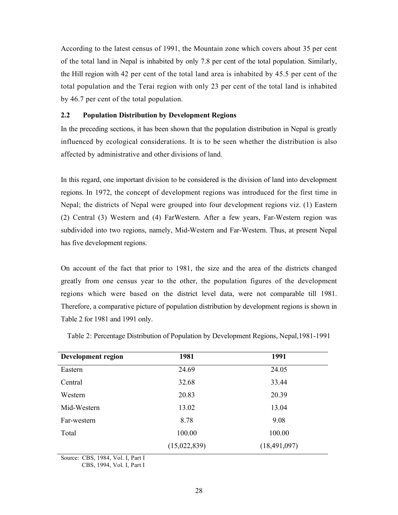According to the latest census of 1991, the Mountain zone which covers about 35 per cent of the total land in Nepal is inhabited by only 7.8 per cent of the total population. Similarly, the Hill region with 42 per cent of the total land area is inhabited by 45.5 per cent of the total population and the Terai region with only 23 per cent of the total land is inhabited by 46.7 per cent of the total population.

# 2.2 Population Distribution by Development Regions

In the preceding sections, it has been shown that the population distribution in Nepal is greatly influenced by ecological considerations. It is to be seen whether the distribution is also affected by administrative and other divisions of land.

In this regard, one important division to be considered is the division of land into development regions. In 1972, the concept of development regions was introduced for the first time in Nepal; the districts of Nepal were grouped into four development regions viz. (1) Eastern (2) Central (3) Western and (4) FarWestern. After a few years, Far-Western region was subdivided into two regions, namely, Mid-Western and Far-Western. Thus, at present Nepal has five development regions.

On account of the fact that prior to 1981, the size and the area of the districts changed greatly from one census year to the other, the population figures of the development regions which were based on the district level data, were not comparable till 1981. Therefore, a comparative picture of population distribution by development regions is shown in Table 2 for 1981 and 1991 only.

| Development region | 1981         | 1991           |
|--------------------|--------------|----------------|
| Eastern            | 24.69        | 24.05          |
| Central            | 32.68        | 33.44          |
| Western            | 20.83        | 20.39          |
| Mid-Western        | 13.02        | 13.04          |
| Far-western        | 8.78         | 9.08           |
| Total              | 100.00       | 100.00         |
|                    | (15,022,839) | (18, 491, 097) |

Table 2: Percentage Distribution of Population by Development Regions, Nepal,1981-1991

Source: CBS, 1984, Vol. I, Part I

CBS, 1994, Vol. I, Part I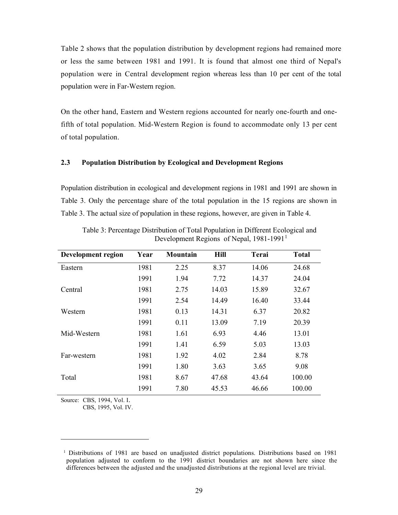Table 2 shows that the population distribution by development regions had remained more or less the same between 1981 and 1991. It is found that almost one third of Nepal's population were in Central development region whereas less than 10 per cent of the total population were in Far-Western region.

On the other hand, Eastern and Western regions accounted for nearly one-fourth and onefifth of total population. Mid-Western Region is found to accommodate only 13 per cent of total population.

# 2.3 Population Distribution by Ecological and Development Regions

Population distribution in ecological and development regions in 1981 and 1991 are shown in Table 3. Only the percentage share of the total population in the 15 regions are shown in Table 3. The actual size of population in these regions, however, are given in Table 4.

| <b>Development region</b> | Year | Mountain | <b>Hill</b> | <b>Terai</b> | <b>Total</b> |
|---------------------------|------|----------|-------------|--------------|--------------|
| Eastern                   | 1981 | 2.25     | 8.37        | 14.06        | 24.68        |
|                           | 1991 | 1.94     | 7.72        | 14.37        | 24.04        |
| Central                   | 1981 | 2.75     | 14.03       | 15.89        | 32.67        |
|                           | 1991 | 2.54     | 14.49       | 16.40        | 33.44        |
| Western                   | 1981 | 0.13     | 14.31       | 6.37         | 20.82        |
|                           | 1991 | 0.11     | 13.09       | 7.19         | 20.39        |
| Mid-Western               | 1981 | 1.61     | 6.93        | 4.46         | 13.01        |
|                           | 1991 | 1.41     | 6.59        | 5.03         | 13.03        |
| Far-western               | 1981 | 1.92     | 4.02        | 2.84         | 8.78         |
|                           | 1991 | 1.80     | 3.63        | 3.65         | 9.08         |
| Total                     | 1981 | 8.67     | 47.68       | 43.64        | 100.00       |
|                           | 1991 | 7.80     | 45.53       | 46.66        | 100.00       |

Table 3: Percentage Distribution of Total Population in Different Ecological and Development Regions of Nepal, 1981-1991<sup>1</sup>

Source: CBS, 1994, Vol. I.

CBS, 1995, Vol. IV.

<sup>1</sup> Distributions of 1981 are based on unadjusted district populations. Distributions based on 1981 population adjusted to conform to the 1991 district boundaries are not shown here since the differences between the adjusted and the unadjusted distributions at the regional level are trivial.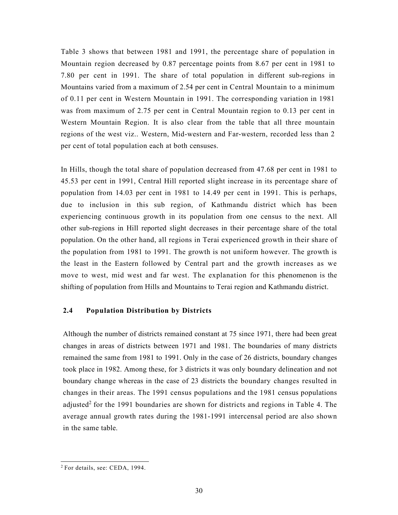Table 3 shows that between 1981 and 1991, the percentage share of population in Mountain region decreased by 0.87 percentage points from 8.67 per cent in 1981 to 7.80 per cent in 1991. The share of total population in different sub-regions in Mountains varied from a maximum of 2.54 per cent in Central Mountain to a minimum of 0.11 per cent in Western Mountain in 1991. The corresponding variation in 1981 was from maximum of 2.75 per cent in Central Mountain region to 0.13 per cent in Western Mountain Region. It is also clear from the table that all three mountain regions of the west viz.. Western, Mid-western and Far-western, recorded less than 2 per cent of total population each at both censuses.

In Hills, though the total share of population decreased from 47.68 per cent in 1981 to 45.53 per cent in 1991, Central Hill reported slight increase in its percentage share of population from 14.03 per cent in 1981 to 14.49 per cent in 1991. This is perhaps, due to inclusion in this sub region, of Kathmandu district which has been experiencing continuous growth in its population from one census to the next. All other sub-regions in Hill reported slight decreases in their percentage share of the total population. On the other hand, all regions in Terai experienced growth in their share of the population from 1981 to 1991. The growth is not uniform however. The growth is the least in the Eastern followed by Central part and the growth increases as we move to west, mid west and far west. The explanation for this phenomenon is the shifting of population from Hills and Mountains to Terai region and Kathmandu district.

# 2.4 Population Distribution by Districts

Although the number of districts remained constant at 75 since 1971, there had been great changes in areas of districts between 1971 and 1981. The boundaries of many districts remained the same from 1981 to 1991. Only in the case of 26 districts, boundary changes took place in 1982. Among these, for 3 districts it was only boundary delineation and not boundary change whereas in the case of 23 districts the boundary changes resulted in changes in their areas. The 1991 census populations and the 1981 census populations adjusted<sup>2</sup> for the 1991 boundaries are shown for districts and regions in Table 4. The average annual growth rates during the 1981-1991 intercensal period are also shown in the same table.

<sup>2</sup> For details, see: CEDA, 1994.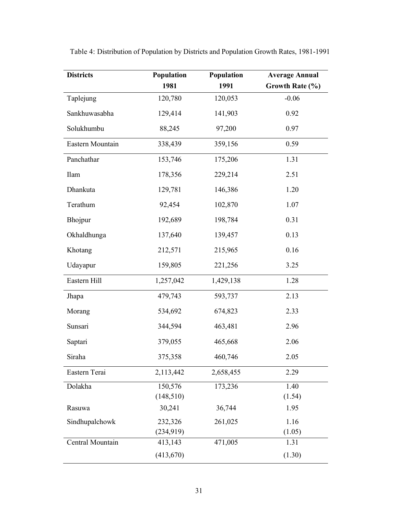| <b>Districts</b> | Population | Population | <b>Average Annual</b> |
|------------------|------------|------------|-----------------------|
|                  | 1981       | 1991       | Growth Rate (%)       |
| Taplejung        | 120,780    | 120,053    | $-0.06$               |
| Sankhuwasabha    | 129,414    | 141,903    | 0.92                  |
| Solukhumbu       | 88,245     | 97,200     | 0.97                  |
| Eastern Mountain | 338,439    | 359,156    | 0.59                  |
| Panchathar       | 153,746    | 175,206    | 1.31                  |
| Ilam             | 178,356    | 229,214    | 2.51                  |
| Dhankuta         | 129,781    | 146,386    | 1.20                  |
| Terathum         | 92,454     | 102,870    | 1.07                  |
| Bhojpur          | 192,689    | 198,784    | 0.31                  |
| Okhaldhunga      | 137,640    | 139,457    | 0.13                  |
| Khotang          | 212,571    | 215,965    | 0.16                  |
| Udayapur         | 159,805    | 221,256    | 3.25                  |
| Eastern Hill     | 1,257,042  | 1,429,138  | 1.28                  |
| Jhapa            | 479,743    | 593,737    | 2.13                  |
| Morang           | 534,692    | 674,823    | 2.33                  |
| Sunsari          | 344,594    | 463,481    | 2.96                  |
| Saptari          | 379,055    | 465,668    | 2.06                  |
| Siraha           | 375,358    | 460,746    | 2.05                  |
| Eastern Terai    | 2,113,442  | 2,658,455  | 2.29                  |
| Dolakha          | 150,576    | 173,236    | 1.40                  |
|                  | (148, 510) |            | (1.54)                |
| Rasuwa           | 30,241     | 36,744     | 1.95                  |
| Sindhupalchowk   | 232,326    | 261,025    | 1.16                  |
|                  | (234, 919) |            | (1.05)                |
| Central Mountain | 413,143    | 471,005    | 1.31                  |
|                  | (413,670)  |            | (1.30)                |

Table 4: Distribution of Population by Districts and Population Growth Rates, 1981-1991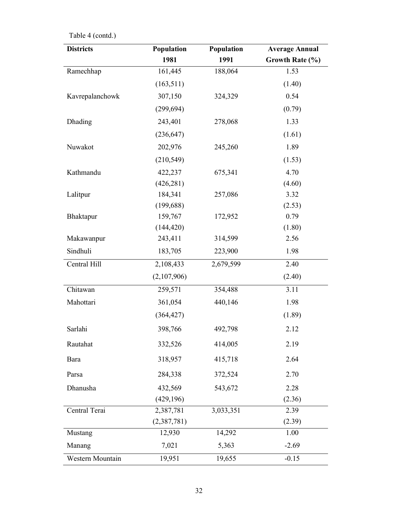| <b>Districts</b> | Population  | Population | <b>Average Annual</b> |
|------------------|-------------|------------|-----------------------|
|                  | 1981        | 1991       | Growth Rate (%)       |
| Ramechhap        | 161,445     | 188,064    | 1.53                  |
|                  | (163, 511)  |            | (1.40)                |
| Kavrepalanchowk  | 307,150     | 324,329    | 0.54                  |
|                  | (299, 694)  |            | (0.79)                |
| Dhading          | 243,401     | 278,068    | 1.33                  |
|                  | (236, 647)  |            | (1.61)                |
| Nuwakot          | 202,976     | 245,260    | 1.89                  |
|                  | (210, 549)  |            | (1.53)                |
| Kathmandu        | 422,237     | 675,341    | 4.70                  |
|                  | (426, 281)  |            | (4.60)                |
| Lalitpur         | 184,341     | 257,086    | 3.32                  |
|                  | (199, 688)  |            | (2.53)                |
| Bhaktapur        | 159,767     | 172,952    | 0.79                  |
|                  | (144, 420)  |            | (1.80)                |
| Makawanpur       | 243,411     | 314,599    | 2.56                  |
| Sindhuli         | 183,705     | 223,900    | 1.98                  |
| Central Hill     | 2,108,433   | 2,679,599  | 2.40                  |
|                  | (2,107,906) |            | (2.40)                |
| Chitawan         | 259,571     | 354,488    | 3.11                  |
| Mahottari        | 361,054     | 440,146    | 1.98                  |
|                  | (364, 427)  |            | (1.89)                |
| Sarlahi          | 398,766     | 492,798    | 2.12                  |
| Rautahat         | 332,526     | 414,005    | 2.19                  |
| Bara             | 318,957     | 415,718    | 2.64                  |
| Parsa            | 284,338     | 372,524    | 2.70                  |
| Dhanusha         | 432,569     | 543,672    | 2.28                  |
|                  | (429, 196)  |            | (2.36)                |
| Central Terai    | 2,387,781   | 3,033,351  | 2.39                  |
|                  | (2,387,781) |            | (2.39)                |
| Mustang          | 12,930      | 14,292     | 1.00                  |
| Manang           | 7,021       | 5,363      | $-2.69$               |
| Western Mountain | 19,951      | 19,655     | $-0.15$               |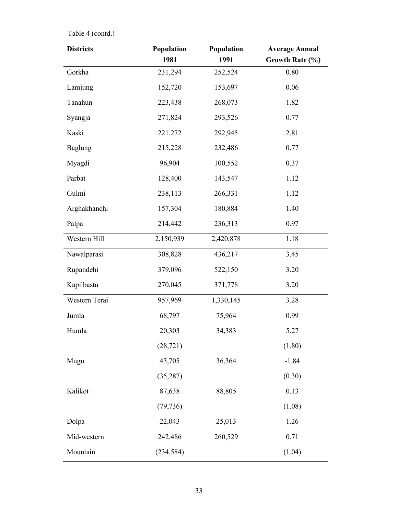| <b>Districts</b> | Population | Population | <b>Average Annual</b> |
|------------------|------------|------------|-----------------------|
|                  | 1981       | 1991       | Growth Rate (%)       |
| Gorkha           | 231,294    | 252,524    | $0.80\,$              |
| Lamjung          | 152,720    | 153,697    | $0.06\,$              |
| Tanahun          | 223,438    | 268,073    | 1.82                  |
| Syangja          | 271,824    | 293,526    | 0.77                  |
| Kaski            | 221,272    | 292,945    | 2.81                  |
| <b>Baglung</b>   | 215,228    | 232,486    | 0.77                  |
| Myagdi           | 96,904     | 100,552    | 0.37                  |
| Parbat           | 128,400    | 143,547    | 1.12                  |
| Gulmi            | 238,113    | 266,331    | 1.12                  |
| Arghakhanchi     | 157,304    | 180,884    | 1.40                  |
| Palpa            | 214,442    | 236,313    | 0.97                  |
| Western Hill     | 2,150,939  | 2,420,878  | 1.18                  |
| Nawalparasi      | 308,828    | 436,217    | 3.45                  |
| Rupandehi        | 379,096    | 522,150    | 3.20                  |
| Kapilbastu       | 270,045    | 371,778    | 3.20                  |
| Western Terai    | 957,969    | 1,330,145  | 3.28                  |
| Jumla            | 68,797     | 75,964     | 0.99                  |
| Humla            | 20,303     | 34,383     | 5.27                  |
|                  | (28, 721)  |            | (1.80)                |
| Mugu             | 43,705     | 36,364     | $-1.84$               |
|                  | (35, 287)  |            | (0.30)                |
| Kalikot          | 87,638     | 88,805     | 0.13                  |
|                  | (79, 736)  |            | (1.08)                |
| Dolpa            | 22,043     | 25,013     | 1.26                  |
| Mid-western      | 242,486    | 260,529    | 0.71                  |
| Mountain         | (234, 584) |            | (1.04)                |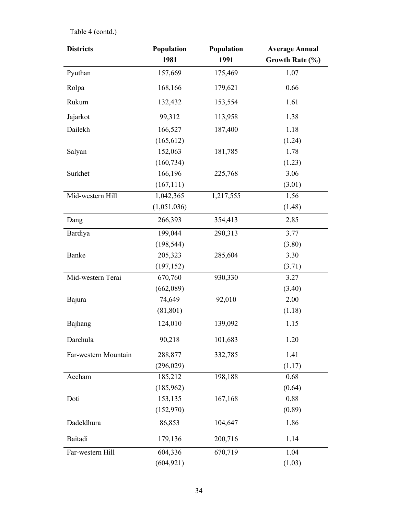| <b>Districts</b>     | Population  | Population | <b>Average Annual</b> |
|----------------------|-------------|------------|-----------------------|
|                      | 1981        | 1991       | Growth Rate (%)       |
| Pyuthan              | 157,669     | 175,469    | 1.07                  |
| Rolpa                | 168,166     | 179,621    | 0.66                  |
| Rukum                | 132,432     | 153,554    | 1.61                  |
| Jajarkot             | 99,312      | 113,958    | 1.38                  |
| Dailekh              | 166,527     | 187,400    | 1.18                  |
|                      | (165, 612)  |            | (1.24)                |
| Salyan               | 152,063     | 181,785    | 1.78                  |
|                      | (160, 734)  |            | (1.23)                |
| Surkhet              | 166,196     | 225,768    | 3.06                  |
|                      | (167, 111)  |            | (3.01)                |
| Mid-western Hill     | 1,042,365   | 1,217,555  | 1.56                  |
|                      | (1,051.036) |            | (1.48)                |
| Dang                 | 266,393     | 354,413    | 2.85                  |
| Bardiya              | 199,044     | 290,313    | 3.77                  |
|                      | (198, 544)  |            | (3.80)                |
| Banke                | 205,323     | 285,604    | 3.30                  |
|                      | (197, 152)  |            | (3.71)                |
| Mid-western Terai    | 670,760     | 930,330    | 3.27                  |
|                      | (662,089)   |            | (3.40)                |
| Bajura               | 74,649      | 92,010     | 2.00                  |
|                      | (81, 801)   |            | (1.18)                |
| Bajhang              | 124,010     | 139,092    | 1.15                  |
| Darchula             | 90,218      | 101,683    | 1.20                  |
| Far-western Mountain | 288,877     | 332,785    | 1.41                  |
|                      | (296, 029)  |            | (1.17)                |
| Accham               | 185,212     | 198,188    | 0.68                  |
|                      | (185, 962)  |            | (0.64)                |
| Doti                 | 153,135     | 167,168    | 0.88                  |
|                      | (152,970)   |            | (0.89)                |
| Dadeldhura           | 86,853      | 104,647    | 1.86                  |
| Baitadi              | 179,136     | 200,716    | 1.14                  |
| Far-western Hill     | 604,336     | 670,719    | 1.04                  |
|                      | (604, 921)  |            | (1.03)                |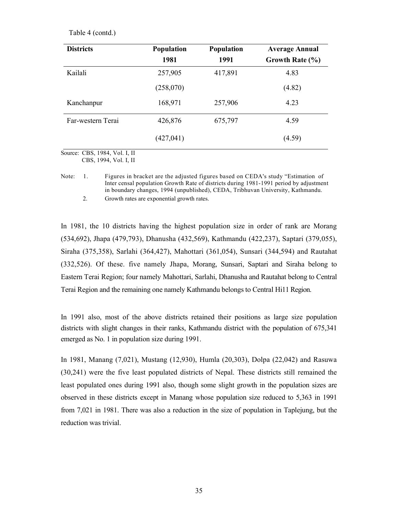| <b>Districts</b>  | <b>Population</b> | <b>Population</b> | <b>Average Annual</b> |
|-------------------|-------------------|-------------------|-----------------------|
|                   | 1981              | 1991              | Growth Rate $(\% )$   |
| Kailali           | 257,905           | 417,891           | 4.83                  |
|                   | (258,070)         |                   | (4.82)                |
| Kanchanpur        | 168,971           | 257,906           | 4.23                  |
| Far-western Terai | 426,876           | 675,797           | 4.59                  |
|                   | (427, 041)        |                   | (4.59)                |

Source: CBS, 1984, Vol. I, II

CBS, 1994, Vol. I, II

2. Growth rates are exponential growth rates.

In 1981, the 10 districts having the highest population size in order of rank are Morang (534,692), Jhapa (479,793), Dhanusha (432,569), Kathmandu (422,237), Saptari (379,055), Siraha (375,358), Sarlahi (364,427), Mahottari (361,054), Sunsari (344,594) and Rautahat (332,526). Of these. five namely Jhapa, Morang, Sunsari, Saptari and Siraha belong to Eastern Terai Region; four namely Mahottari, Sarlahi, Dhanusha and Rautahat belong to Central Terai Region and the remaining one namely Kathmandu belongs to Central Hi11 Region.

In 1991 also, most of the above districts retained their positions as large size population districts with slight changes in their ranks, Kathmandu district with the population of 675,341 emerged as No. 1 in population size during 1991.

In 1981, Manang (7,021), Mustang (12,930), Humla (20,303), Dolpa (22,042) and Rasuwa (30,241) were the five least populated districts of Nepal. These districts still remained the least populated ones during 1991 also, though some slight growth in the population sizes are observed in these districts except in Manang whose population size reduced to 5,363 in 1991 from 7,021 in 1981. There was also a reduction in the size of population in Taplejung, but the reduction was trivial.

Note: 1. Figures in bracket are the adjusted figures based on CEDA's study "Estimation of Inter censal population Growth Rate of districts during 1981-1991 period by adjustment in boundary changes, 1994 (unpublished), CEDA, Tribhuvan University, Kathmandu.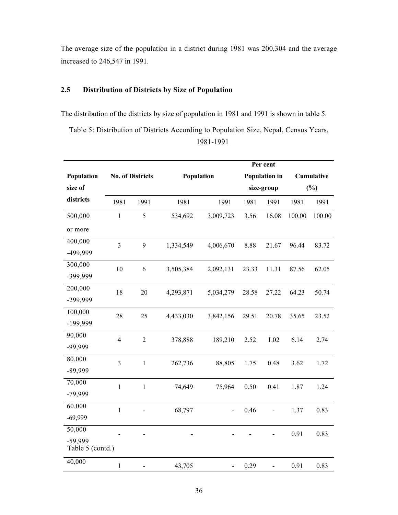The average size of the population in a district during 1981 was 200,304 and the average increased to 246,547 in 1991.

# 2.5 Distribution of Districts by Size of Population

The distribution of the districts by size of population in 1981 and 1991 is shown in table 5.

Table 5: Distribution of Districts According to Population Size, Nepal, Census Years, 1981-1991

|                             |                |                         |            |                          |       | Per cent                 |        |            |
|-----------------------------|----------------|-------------------------|------------|--------------------------|-------|--------------------------|--------|------------|
| Population                  |                | <b>No. of Districts</b> | Population |                          |       | <b>Population in</b>     |        | Cumulative |
| size of                     |                |                         |            |                          |       | size-group               |        | $(\%)$     |
| districts                   | 1981           | 1991                    | 1981       | 1991                     | 1981  | 1991                     | 1981   | 1991       |
| 500,000                     | $\mathbf{1}$   | 5                       | 534,692    | 3,009,723                | 3.56  | 16.08                    | 100.00 | 100.00     |
| or more                     |                |                         |            |                          |       |                          |        |            |
| 400,000                     | $\overline{3}$ | 9                       | 1,334,549  | 4,006,670                | 8.88  | 21.67                    | 96.44  | 83.72      |
| -499,999                    |                |                         |            |                          |       |                          |        |            |
| 300,000                     | 10             | 6                       | 3,505,384  | 2,092,131                | 23.33 | 11.31                    | 87.56  | 62.05      |
| -399,999                    |                |                         |            |                          |       |                          |        |            |
| 200,000                     | 18             | 20                      | 4,293,871  | 5,034,279                | 28.58 | 27.22                    | 64.23  | 50.74      |
| -299,999                    |                |                         |            |                          |       |                          |        |            |
| 100,000                     | 28             | 25                      | 4,433,030  | 3,842,156                | 29.51 | 20.78                    | 35.65  | 23.52      |
| -199,999                    |                |                         |            |                          |       |                          |        |            |
| 90,000                      | $\overline{4}$ | $\mathfrak 2$           | 378,888    | 189,210                  | 2.52  | 1.02                     | 6.14   | 2.74       |
| -99,999                     |                |                         |            |                          |       |                          |        |            |
| 80,000                      | $\overline{3}$ | $\mathbf{1}$            | 262,736    | 88,805                   | 1.75  | 0.48                     | 3.62   | 1.72       |
| $-89,999$                   |                |                         |            |                          |       |                          |        |            |
| 70,000                      | $\mathbf{1}$   | $\mathbf{1}$            | 74,649     | 75,964                   | 0.50  | 0.41                     | 1.87   | 1.24       |
| $-79,999$                   |                |                         |            |                          |       |                          |        |            |
| 60,000                      | $\mathbf{1}$   |                         | 68,797     |                          | 0.46  |                          | 1.37   | 0.83       |
| $-69,999$                   |                |                         |            |                          |       |                          |        |            |
| 50,000                      |                |                         |            |                          |       |                          | 0.91   | 0.83       |
| -59,999<br>Table 5 (contd.) |                |                         |            |                          |       |                          |        |            |
| 40,000                      | $\mathbf 1$    |                         | 43,705     | $\overline{\phantom{0}}$ | 0.29  | $\overline{\phantom{0}}$ | 0.91   | 0.83       |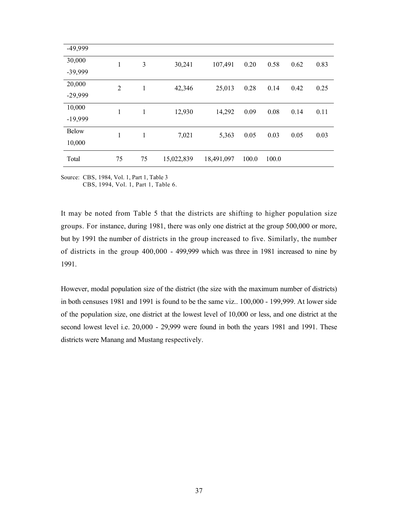| -49,999      |                |    |            |            |       |       |      |      |
|--------------|----------------|----|------------|------------|-------|-------|------|------|
| 30,000       | 1              | 3  | 30,241     | 107,491    | 0.20  | 0.58  | 0.62 | 0.83 |
| -39,999      |                |    |            |            |       |       |      |      |
| 20,000       | $\overline{2}$ | 1  | 42,346     | 25,013     | 0.28  | 0.14  | 0.42 | 0.25 |
| $-29,999$    |                |    |            |            |       |       |      |      |
| 10,000       | 1              | 1  | 12,930     | 14,292     | 0.09  | 0.08  | 0.14 | 0.11 |
| $-19,999$    |                |    |            |            |       |       |      |      |
| <b>Below</b> | 1              | 1  | 7,021      | 5,363      | 0.05  | 0.03  | 0.05 | 0.03 |
| 10,000       |                |    |            |            |       |       |      |      |
| Total        | 75             | 75 | 15,022,839 | 18,491,097 | 100.0 | 100.0 |      |      |

Source: CBS, 1984, Vol. 1, Part 1, Table 3

CBS, 1994, Vol. 1, Part 1, Table 6.

It may be noted from Table 5 that the districts are shifting to higher population size groups. For instance, during 1981, there was only one district at the group 500,000 or more, but by 1991 the number of districts in the group increased to five. Similarly, the number of districts in the group 400,000 - 499,999 which was three in 1981 increased to nine by 1991.

However, modal population size of the district (the size with the maximum number of districts) in both censuses 1981 and 1991 is found to be the same viz.. 100,000 - 199,999. At lower side of the population size, one district at the lowest level of 10,000 or less, and one district at the second lowest level i.e. 20,000 - 29,999 were found in both the years 1981 and 1991. These districts were Manang and Mustang respectively.

37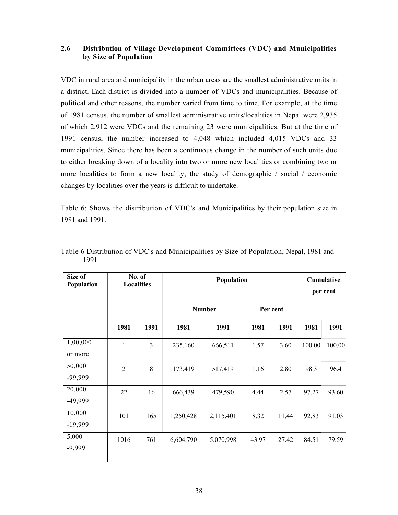# 2.6 Distribution of Village Development Committees (VDC) and Municipalities by Size of Population

VDC in rural area and municipality in the urban areas are the smallest administrative units in a district. Each district is divided into a number of VDCs and municipalities. Because of political and other reasons, the number varied from time to time. For example, at the time of 1981 census, the number of smallest administrative units/localities in Nepal were 2,935 of which 2,912 were VDCs and the remaining 23 were municipalities. But at the time of 1991 census, the number increased to 4,048 which included 4,015 VDCs and 33 municipalities. Since there has been a continuous change in the number of such units due to either breaking down of a locality into two or more new localities or combining two or more localities to form a new locality, the study of demographic / social / economic changes by localities over the years is difficult to undertake.

Table 6: Shows the distribution of VDC's and Municipalities by their population size in 1981 and 1991.

| Size of<br>Population |                | No. of<br><b>Localities</b> | Population |               |       | Cumulative<br>per cent |        |        |
|-----------------------|----------------|-----------------------------|------------|---------------|-------|------------------------|--------|--------|
|                       |                |                             |            | <b>Number</b> |       | Per cent               |        |        |
|                       | 1981           | 1991                        | 1981       | 1991          | 1981  | 1991                   | 1981   | 1991   |
| 1,00,000<br>or more   | $\mathbf{1}$   | 3                           | 235,160    | 666,511       | 1.57  | 3.60                   | 100.00 | 100.00 |
| 50,000<br>-99,999     | $\overline{2}$ | 8                           | 173,419    | 517,419       | 1.16  | 2.80                   | 98.3   | 96.4   |
| 20,000<br>-49,999     | 22             | 16                          | 666,439    | 479,590       | 4.44  | 2.57                   | 97.27  | 93.60  |
| 10,000<br>$-19,999$   | 101            | 165                         | 1,250,428  | 2,115,401     | 8.32  | 11.44                  | 92.83  | 91.03  |
| 5,000<br>$-9,999$     | 1016           | 761                         | 6,604,790  | 5,070,998     | 43.97 | 27.42                  | 84.51  | 79.59  |

Table 6 Distribution of VDC's and Municipalities by Size of Population, Nepal, 1981 and 1991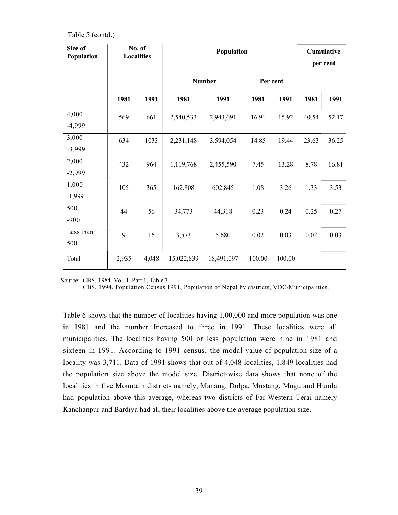Table 5 (contd.)

| Size of<br>Population |       | No. of<br><b>Localities</b> |            | Population    |        |          |       | Cumulative<br>per cent |
|-----------------------|-------|-----------------------------|------------|---------------|--------|----------|-------|------------------------|
|                       |       |                             |            | <b>Number</b> |        | Per cent |       |                        |
|                       | 1981  | 1991                        | 1981       | 1991          | 1981   | 1991     | 1981  | 1991                   |
| 4,000<br>$-4,999$     | 569   | 661                         | 2,540,533  | 2,943,691     | 16.91  | 15.92    | 40.54 | 52.17                  |
| 3,000<br>$-3,999$     | 634   | 1033                        | 2,231,148  | 3,594,054     | 14.85  | 19.44    | 23.63 | 36.25                  |
| 2,000<br>$-2,999$     | 432   | 964                         | 1,119,768  | 2,455,590     | 7.45   | 13.28    | 8.78  | 16.81                  |
| 1,000<br>$-1,999$     | 105   | 365                         | 162,808    | 602,845       | 1.08   | 3.26     | 1.33  | 3.53                   |
| 500<br>$-900$         | 44    | 56                          | 34,773     | 44,318        | 0.23   | 0.24     | 0.25  | 0.27                   |
| Less than<br>500      | 9     | 16                          | 3,573      | 5,680         | 0.02   | 0.03     | 0.02  | 0.03                   |
| Total                 | 2,935 | 4,048                       | 15,022,839 | 18,491,097    | 100.00 | 100.00   |       |                        |

Source: CBS, 1984, Vol. 1, Part 1, Table 3

CBS, 1994, Population Census 1991, Population of Nepal by districts, VDC/Municipalities.

Table 6 shows that the number of localities having 1,00,000 and more population was one in 1981 and the number Increased to three in 1991. These localities were all municipalities. The localities having 500 or less population were nine in 1981 and sixteen in 1991. According to 1991 census, the modal value of population size of a locality was 3,711. Data of 1991 shows that out of 4,048 localities, 1,849 localities had the population size above the model size. District-wise data shows that none of the localities in five Mountain districts namely, Manang, Dolpa, Mustang, Mugu and Humla had population above this average, whereas two districts of Far-Western Terai namely Kanchanpur and Bardiya had all their localities above the average population size.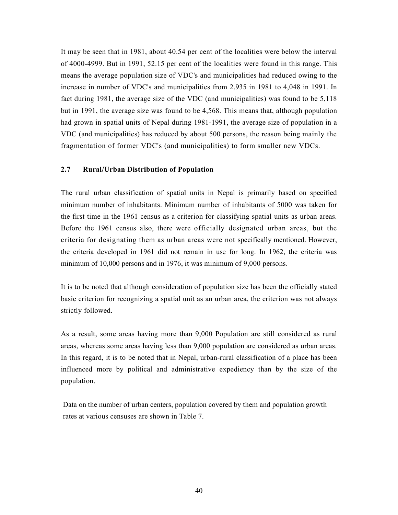It may be seen that in 1981, about 40.54 per cent of the localities were below the interval of 4000-4999. But in 1991, 52.15 per cent of the localities were found in this range. This means the average population size of VDC's and municipalities had reduced owing to the increase in number of VDC's and municipalities from 2,935 in 1981 to 4,048 in 1991. In fact during 1981, the average size of the VDC (and municipalities) was found to be 5,118 but in 1991, the average size was found to be 4,568. This means that, although population had grown in spatial units of Nepal during 1981-1991, the average size of population in a VDC (and municipalities) has reduced by about 500 persons, the reason being mainly the fragmentation of former VDC's (and municipalities) to form smaller new VDCs.

# 2.7 Rural/Urban Distribution of Population

The rural urban classification of spatial units in Nepal is primarily based on specified minimum number of inhabitants. Minimum number of inhabitants of 5000 was taken for the first time in the 1961 census as a criterion for classifying spatial units as urban areas. Before the 1961 census also, there were officially designated urban areas, but the criteria for designating them as urban areas were not specifically mentioned. However, the criteria developed in 1961 did not remain in use for long. In 1962, the criteria was minimum of 10,000 persons and in 1976, it was minimum of 9,000 persons.

It is to be noted that although consideration of population size has been the officially stated basic criterion for recognizing a spatial unit as an urban area, the criterion was not always strictly followed.

As a result, some areas having more than 9,000 Population are still considered as rural areas, whereas some areas having less than 9,000 population are considered as urban areas. In this regard, it is to be noted that in Nepal, urban-rural classification of a place has been influenced more by political and administrative expediency than by the size of the population.

Data on the number of urban centers, population covered by them and population growth rates at various censuses are shown in Table 7.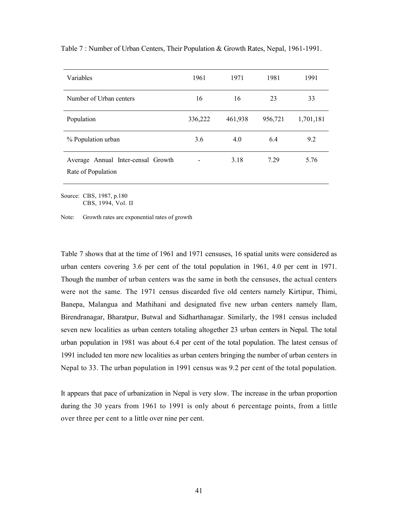| Variables                                                | 1961                     | 1971    | 1981    | 1991      |
|----------------------------------------------------------|--------------------------|---------|---------|-----------|
| Number of Urban centers                                  | 16                       | 16      | 23      | 33        |
| Population                                               | 336,222                  | 461,938 | 956,721 | 1,701,181 |
| % Population urban                                       | 3.6                      | 4.0     | 6.4     | 9.2       |
| Average Annual Inter-censal Growth<br>Rate of Population | $\overline{\phantom{0}}$ | 3.18    | 7.29    | 5.76      |

Table 7 : Number of Urban Centers, Their Population & Growth Rates, Nepal, 1961-1991.

Source: CBS, 1987, p.180 CBS, 1994, Vol. II

Note: Growth rates are exponential rates of growth

Table 7 shows that at the time of 1961 and 1971 censuses, 16 spatial units were considered as urban centers covering 3.6 per cent of the total population in 1961, 4.0 per cent in 1971. Though the number of urban centers was the same in both the censuses, the actual centers were not the same. The 1971 census discarded five old centers namely Kirtipur, Thimi, Banepa, Malangua and Mathihani and designated five new urban centers namely Ilam, Birendranagar, Bharatpur, Butwal and Sidharthanagar. Similarly, the 1981 census included seven new localities as urban centers totaling altogether 23 urban centers in Nepal. The total urban population in 1981 was about 6.4 per cent of the total population. The latest census of 1991 included ten more new localities as urban centers bringing the number of urban centers in Nepal to 33. The urban population in 1991 census was 9.2 per cent of the total population.

It appears that pace of urbanization in Nepal is very slow. The increase in the urban proportion during the 30 years from 1961 to 1991 is only about 6 percentage points, from a little over three per cent to a little over nine per cent.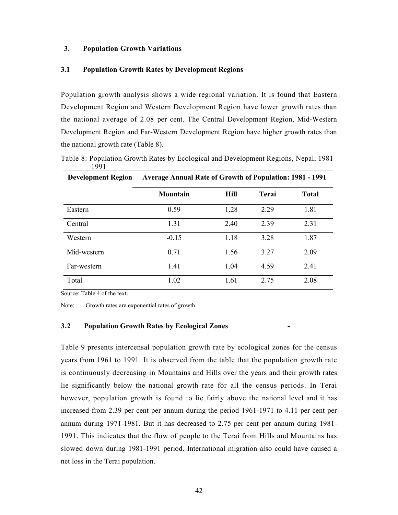# 3. Population Growth Variations

#### 3.1 Population Growth Rates by Development Regions

Population growth analysis shows a wide regional variation. It is found that Eastern Development Region and Western Development Region have lower growth rates than the national average of 2.08 per cent. The Central Development Region, Mid-Western Development Region and Far-Western Development Region have higher growth rates than the national growth rate (Table 8).

Table 8: Population Growth Rates by Ecological and Development Regions, Nepal, 1981- 1991 Development Region Average Annual Rate of Growth of Population: 1981 - 1991

| ретеюршені кезіон | AVEI age Allinual Nate of Growth of Fopulation, 1961 - 1991 |             |       |              |  |  |
|-------------------|-------------------------------------------------------------|-------------|-------|--------------|--|--|
|                   | <b>Mountain</b>                                             | <b>Hill</b> | Terai | <b>Total</b> |  |  |
| Eastern           | 0.59                                                        | 1.28        | 2.29  | 1.81         |  |  |
| Central           | 1.31                                                        | 2.40        | 2.39  | 2.31         |  |  |
| Western           | $-0.15$                                                     | 1.18        | 3.28  | 1.87         |  |  |
| Mid-western       | 0.71                                                        | 1.56        | 3.27  | 2.09         |  |  |
| Far-western       | 1.41                                                        | 1.04        | 4.59  | 2.41         |  |  |
| Total             | 1.02                                                        | 1.61        | 2.75  | 2.08         |  |  |

Source: Table 4 of the text.

Note: Growth rates are exponential rates of growth

# 3.2 Population Growth Rates by Ecological Zones

Table 9 presents intercensal population growth rate by ecological zones for the census years from 1961 to 1991. It is observed from the table that the population growth rate is continuously decreasing in Mountains and Hills over the years and their growth rates lie significantly below the national growth rate for all the census periods. In Terai however, population growth is found to lie fairly above the national level and it has increased from 2.39 per cent per annum during the period 1961-1971 to 4.11 per cent per annum during 1971-1981. But it has decreased to 2.75 per cent per annum during 1981- 1991. This indicates that the flow of people to the Terai from Hills and Mountains has slowed down during 1981-1991 period. International migration also could have caused a net loss in the Terai population.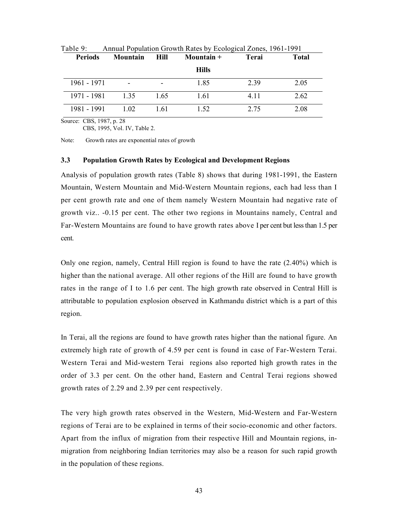| <b>Periods</b> | Mountain        | <b>Hill</b> | Mountain $+$ | Terai | <b>Total</b> |
|----------------|-----------------|-------------|--------------|-------|--------------|
|                |                 |             | <b>Hills</b> |       |              |
| 1961 - 1971    | $\qquad \qquad$ |             | 1.85         | 2.39  | 2.05         |
| 1971 - 1981    | 1.35            | 1.65        | 1.61         | 4.11  | 2.62         |
| 1981 - 1991    | 1.02            | 1.61        | 1.52         | 2.75  | 2.08         |

Table 9: Annual Population Growth Rates by Ecological Zones, 1961-1991

Source: CBS, 1987, p. 28

CBS, 1995, Vol. IV, Table 2.

Note: Growth rates are exponential rates of growth

#### 3.3 Population Growth Rates by Ecological and Development Regions

Analysis of population growth rates (Table 8) shows that during 1981-1991, the Eastern Mountain, Western Mountain and Mid-Western Mountain regions, each had less than I per cent growth rate and one of them namely Western Mountain had negative rate of growth viz.. -0.15 per cent. The other two regions in Mountains namely, Central and Far-Western Mountains are found to have growth rates above I per cent but less than 1.5 per cent.

Only one region, namely, Central Hill region is found to have the rate (2.40%) which is higher than the national average. All other regions of the Hill are found to have growth rates in the range of I to 1.6 per cent. The high growth rate observed in Central Hill is attributable to population explosion observed in Kathmandu district which is a part of this region.

In Terai, all the regions are found to have growth rates higher than the national figure. An extremely high rate of growth of 4.59 per cent is found in case of Far-Western Terai. Western Terai and Mid-western Terai regions also reported high growth rates in the order of 3.3 per cent. On the other hand, Eastern and Central Terai regions showed growth rates of 2.29 and 2.39 per cent respectively.

The very high growth rates observed in the Western, Mid-Western and Far-Western regions of Terai are to be explained in terms of their socio-economic and other factors. Apart from the influx of migration from their respective Hill and Mountain regions, inmigration from neighboring Indian territories may also be a reason for such rapid growth in the population of these regions.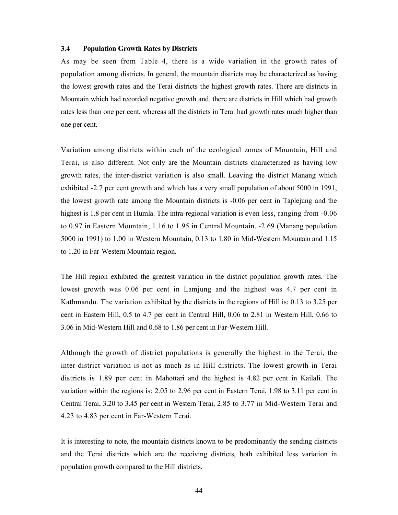#### 3.4 Population Growth Rates by Districts

As may be seen from Table 4, there is a wide variation in the growth rates of population among districts. In general, the mountain districts may be characterized as having the lowest growth rates and the Terai districts the highest growth rates. There are districts in Mountain which had recorded negative growth and. there are districts in Hill which had growth rates less than one per cent, whereas all the districts in Terai had growth rates much higher than one per cent.

Variation among districts within each of the ecological zones of Mountain, Hill and Terai, is also different. Not only are the Mountain districts characterized as having low growth rates, the inter-district variation is also small. Leaving the district Manang which exhibited -2.7 per cent growth and which has a very small population of about 5000 in 1991, the lowest growth rate among the Mountain districts is -0.06 per cent in Taplejung and the highest is 1.8 per cent in Humla. The intra-regional variation is even less, ranging from -0.06 to 0.97 in Eastern Mountain, 1.16 to 1.95 in Central Mountain, -2.69 (Manang population 5000 in 1991) to 1.00 in Western Mountain, 0.13 to 1.80 in Mid-Western Mountain and 1.15 to 1.20 in Far-Western Mountain region.

The Hill region exhibited the greatest variation in the district population growth rates. The lowest growth was 0.06 per cent in Lamjung and the highest was 4.7 per cent in Kathmandu. The variation exhibited by the districts in the regions of Hill is: 0.13 to 3.25 per cent in Eastern Hill, 0.5 to 4.7 per cent in Central Hill, 0.06 to 2.81 in Western Hill, 0.66 to 3.06 in Mid-Western Hill and 0.68 to 1.86 per cent in Far-Western Hill.

Although the growth of district populations is generally the highest in the Terai, the inter-district variation is not as much as in Hill districts. The lowest growth in Terai districts is 1.89 per cent in Mahottari and the highest is 4.82 per cent in Kailali. The variation within the regions is: 2.05 to 2.96 per cent in Eastern Terai, 1.98 to 3.11 per cent in Central Terai, 3.20 to 3.45 per cent in Western Terai, 2.85 to 3.77 in Mid-Western Terai and 4.23 to 4.83 per cent in Far-Western Terai.

It is interesting to note, the mountain districts known to be predominantly the sending districts and the Terai districts which are the receiving districts, both exhibited less variation in population growth compared to the Hill districts.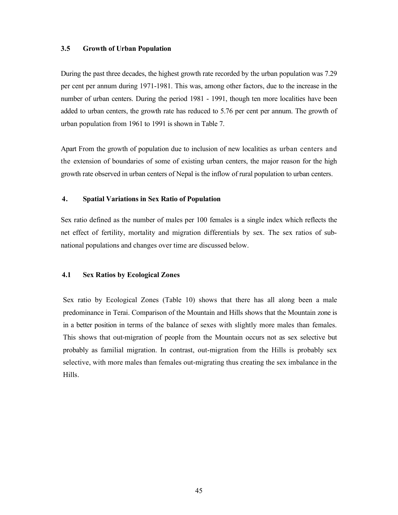#### 3.5 Growth of Urban Population

During the past three decades, the highest growth rate recorded by the urban population was 7.29 per cent per annum during 1971-1981. This was, among other factors, due to the increase in the number of urban centers. During the period 1981 - 1991, though ten more localities have been added to urban centers, the growth rate has reduced to 5.76 per cent per annum. The growth of urban population from 1961 to 1991 is shown in Table 7.

Apart From the growth of population due to inclusion of new localities as urban centers and the extension of boundaries of some of existing urban centers, the major reason for the high growth rate observed in urban centers of Nepal is the inflow of rural population to urban centers.

#### 4. Spatial Variations in Sex Ratio of Population

Sex ratio defined as the number of males per 100 females is a single index which reflects the net effect of fertility, mortality and migration differentials by sex. The sex ratios of subnational populations and changes over time are discussed below.

#### 4.1 Sex Ratios by Ecological Zones

Sex ratio by Ecological Zones (Table 10) shows that there has all along been a male predominance in Terai. Comparison of the Mountain and Hills shows that the Mountain zone is in a better position in terms of the balance of sexes with slightly more males than females. This shows that out-migration of people from the Mountain occurs not as sex selective but probably as familial migration. In contrast, out-migration from the Hills is probably sex selective, with more males than females out-migrating thus creating the sex imbalance in the Hills.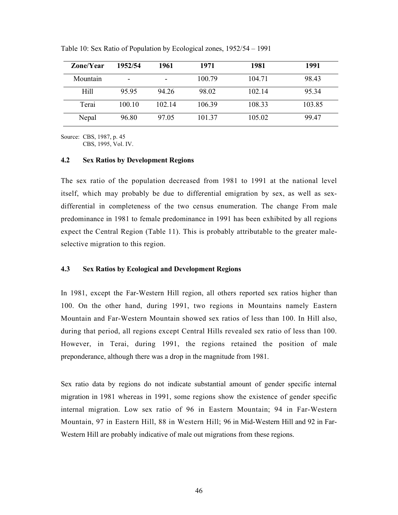| Zone/Year   | 1952/54                  | 1961   | 1971   | 1981   | 1991   |
|-------------|--------------------------|--------|--------|--------|--------|
| Mountain    | $\overline{\phantom{0}}$ |        | 100.79 | 104.71 | 98.43  |
| <b>Hill</b> | 95.95                    | 94.26  | 98.02  | 102.14 | 95.34  |
| Terai       | 100.10                   | 102.14 | 106.39 | 108.33 | 103.85 |
| Nepal       | 96.80                    | 97.05  | 101.37 | 105.02 | 99.47  |

Table 10: Sex Ratio of Population by Ecological zones, 1952/54 – 1991

Source: CBS, 1987, p. 45

CBS, 1995, Vol. IV.

#### 4.2 Sex Ratios by Development Regions

The sex ratio of the population decreased from 1981 to 1991 at the national level itself, which may probably be due to differential emigration by sex, as well as sexdifferential in completeness of the two census enumeration. The change From male predominance in 1981 to female predominance in 1991 has been exhibited by all regions expect the Central Region (Table 11). This is probably attributable to the greater maleselective migration to this region.

# 4.3 Sex Ratios by Ecological and Development Regions

In 1981, except the Far-Western Hill region, all others reported sex ratios higher than 100. On the other hand, during 1991, two regions in Mountains namely Eastern Mountain and Far-Western Mountain showed sex ratios of less than 100. In Hill also, during that period, all regions except Central Hills revealed sex ratio of less than 100. However, in Terai, during 1991, the regions retained the position of male preponderance, although there was a drop in the magnitude from 1981.

Sex ratio data by regions do not indicate substantial amount of gender specific internal migration in 1981 whereas in 1991, some regions show the existence of gender specific internal migration. Low sex ratio of 96 in Eastern Mountain; 94 in Far-Western Mountain, 97 in Eastern Hill, 88 in Western Hill; 96 in Mid-Western Hill and 92 in Far-Western Hill are probably indicative of male out migrations from these regions.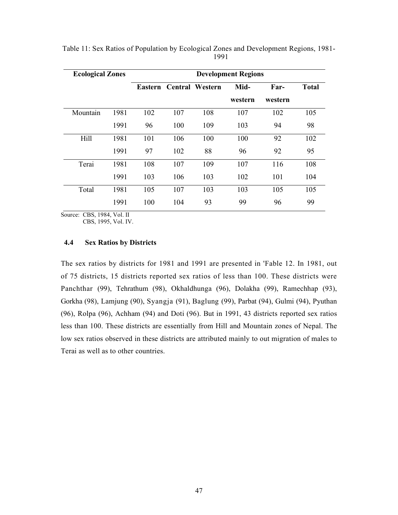| <b>Ecological Zones</b> |      | <b>Development Regions</b> |     |                         |         |         |              |
|-------------------------|------|----------------------------|-----|-------------------------|---------|---------|--------------|
|                         |      |                            |     | Eastern Central Western | Mid-    | Far-    | <b>Total</b> |
|                         |      |                            |     |                         | western | western |              |
| Mountain                | 1981 | 102                        | 107 | 108                     | 107     | 102     | 105          |
|                         | 1991 | 96                         | 100 | 109                     | 103     | 94      | 98           |
| Hill                    | 1981 | 101                        | 106 | 100                     | 100     | 92      | 102          |
|                         | 1991 | 97                         | 102 | 88                      | 96      | 92      | 95           |
| Terai                   | 1981 | 108                        | 107 | 109                     | 107     | 116     | 108          |
|                         | 1991 | 103                        | 106 | 103                     | 102     | 101     | 104          |
| Total                   | 1981 | 105                        | 107 | 103                     | 103     | 105     | 105          |
|                         | 1991 | 100                        | 104 | 93                      | 99      | 96      | 99           |

Table 11: Sex Ratios of Population by Ecological Zones and Development Regions, 1981- 

Source: CBS, 1984, Vol. II

CBS, 1995, Vol. IV.

## 4.4 Sex Ratios by Districts

The sex ratios by districts for 1981 and 1991 are presented in 'Fable 12. In 1981, out of 75 districts, 15 districts reported sex ratios of less than 100. These districts were Panchthar (99), Tehrathum (98), Okhaldhunga (96), Dolakha (99), Ramechhap (93), Gorkha (98), Lamjung (90), Syangja (91), Baglung (99), Parbat (94), Gulmi (94), Pyuthan (96), Rolpa (96), Achham (94) and Doti (96). But in 1991, 43 districts reported sex ratios less than 100. These districts are essentially from Hill and Mountain zones of Nepal. The low sex ratios observed in these districts are attributed mainly to out migration of males to Terai as well as to other countries.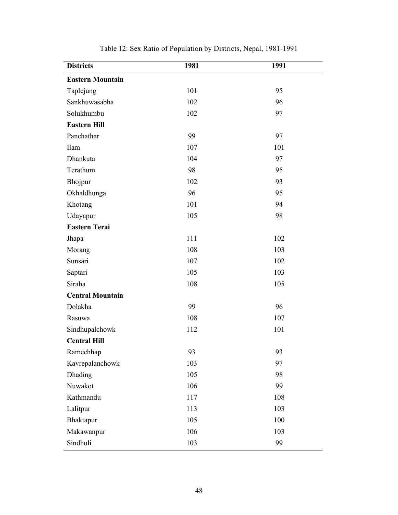| <b>Districts</b>        | 1981 | 1991 |
|-------------------------|------|------|
| <b>Eastern Mountain</b> |      |      |
| Taplejung               | 101  | 95   |
| Sankhuwasabha           | 102  | 96   |
| Solukhumbu              | 102  | 97   |
| <b>Eastern Hill</b>     |      |      |
| Panchathar              | 99   | 97   |
| Ilam                    | 107  | 101  |
| Dhankuta                | 104  | 97   |
| Terathum                | 98   | 95   |
| Bhojpur                 | 102  | 93   |
| Okhaldhunga             | 96   | 95   |
| Khotang                 | 101  | 94   |
| Udayapur                | 105  | 98   |
| <b>Eastern Terai</b>    |      |      |
| Jhapa                   | 111  | 102  |
| Morang                  | 108  | 103  |
| Sunsari                 | 107  | 102  |
| Saptari                 | 105  | 103  |
| Siraha                  | 108  | 105  |
| <b>Central Mountain</b> |      |      |
| Dolakha                 | 99   | 96   |
| Rasuwa                  | 108  | 107  |
| Sindhupalchowk          | 112  | 101  |
| <b>Central Hill</b>     |      |      |
| Ramechhap               | 93   | 93   |
| Kavrepalanchowk         | 103  | 97   |
| Dhading                 | 105  | 98   |
| Nuwakot                 | 106  | 99   |
| Kathmandu               | 117  | 108  |
| Lalitpur                | 113  | 103  |
| Bhaktapur               | 105  | 100  |
| Makawanpur              | 106  | 103  |
| Sindhuli                | 103  | 99   |

Table 12: Sex Ratio of Population by Districts, Nepal, 1981-1991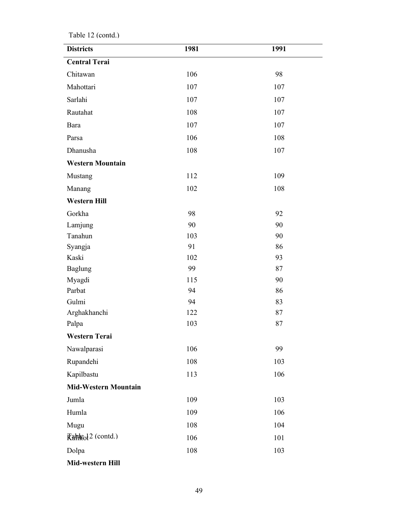| <b>Districts</b>              | 1981 | 1991 |
|-------------------------------|------|------|
| <b>Central Terai</b>          |      |      |
| Chitawan                      | 106  | 98   |
| Mahottari                     | 107  | 107  |
| Sarlahi                       | 107  | 107  |
| Rautahat                      | 108  | 107  |
| Bara                          | 107  | 107  |
| Parsa                         | 106  | 108  |
| Dhanusha                      | 108  | 107  |
| <b>Western Mountain</b>       |      |      |
| Mustang                       | 112  | 109  |
| Manang                        | 102  | 108  |
| <b>Western Hill</b>           |      |      |
| Gorkha                        | 98   | 92   |
| Lamjung                       | 90   | 90   |
| Tanahun                       | 103  | 90   |
| Syangja                       | 91   | 86   |
| Kaski                         | 102  | 93   |
| <b>Baglung</b>                | 99   | 87   |
| Myagdi                        | 115  | 90   |
| Parbat                        | 94   | 86   |
| Gulmi                         | 94   | 83   |
| Arghakhanchi                  | 122  | 87   |
| Palpa                         | 103  | 87   |
| <b>Western Terai</b>          |      |      |
| Nawalparasi                   | 106  | 99   |
| Rupandehi                     | 108  | 103  |
| Kapilbastu                    | 113  | 106  |
| <b>Mid-Western Mountain</b>   |      |      |
| Jumla                         | 109  | 103  |
| Humla                         | 109  | 106  |
| Mugu                          | 108  | 104  |
| Rahleol <sup>2</sup> (contd.) | 106  | 101  |
| Dolpa                         | 108  | 103  |
| Mid-western Hill              |      |      |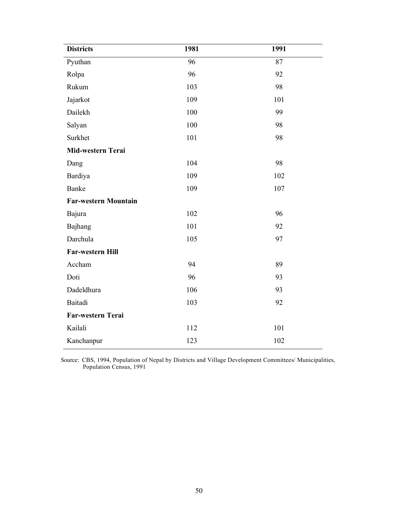| <b>Districts</b>            | 1981 | 1991 |  |  |  |  |  |
|-----------------------------|------|------|--|--|--|--|--|
| Pyuthan                     | 96   | 87   |  |  |  |  |  |
| Rolpa                       | 96   | 92   |  |  |  |  |  |
| Rukum                       | 103  | 98   |  |  |  |  |  |
| Jajarkot                    | 109  | 101  |  |  |  |  |  |
| Dailekh                     | 100  | 99   |  |  |  |  |  |
| Salyan                      | 100  | 98   |  |  |  |  |  |
| Surkhet                     | 101  | 98   |  |  |  |  |  |
| Mid-western Terai           |      |      |  |  |  |  |  |
| Dang                        | 104  | 98   |  |  |  |  |  |
| Bardiya                     | 109  | 102  |  |  |  |  |  |
| Banke                       | 109  | 107  |  |  |  |  |  |
| <b>Far-western Mountain</b> |      |      |  |  |  |  |  |
| Bajura                      | 102  | 96   |  |  |  |  |  |
| Bajhang                     | 101  | 92   |  |  |  |  |  |
| Darchula                    | 105  | 97   |  |  |  |  |  |
| Far-western Hill            |      |      |  |  |  |  |  |
| Accham                      | 94   | 89   |  |  |  |  |  |
| Doti                        | 96   | 93   |  |  |  |  |  |
| Dadeldhura                  | 106  | 93   |  |  |  |  |  |
| Baitadi                     | 103  | 92   |  |  |  |  |  |
| Far-western Terai           |      |      |  |  |  |  |  |
| Kailali                     | 112  | 101  |  |  |  |  |  |
| Kanchanpur                  | 123  | 102  |  |  |  |  |  |

Source: CBS, 1994, Population of Nepal by Districts and Village Development Committees/ Municipalities, Population Census, 1991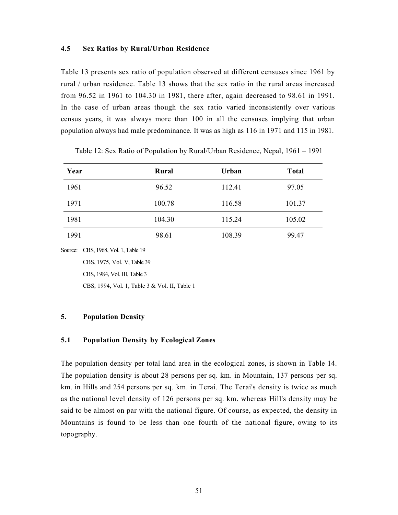# 4.5 Sex Ratios by Rural/Urban Residence

Table 13 presents sex ratio of population observed at different censuses since 1961 by rural / urban residence. Table 13 shows that the sex ratio in the rural areas increased from 96.52 in 1961 to 104.30 in 1981, there after, again decreased to 98.61 in 1991. In the case of urban areas though the sex ratio varied inconsistently over various census years, it was always more than 100 in all the censuses implying that urban population always had male predominance. It was as high as 116 in 1971 and 115 in 1981.

| Year | Rural  | <b>Urban</b> | <b>Total</b> |
|------|--------|--------------|--------------|
| 1961 | 96.52  | 112.41       | 97.05        |
| 1971 | 100.78 | 116.58       | 101.37       |
| 1981 | 104.30 | 115.24       | 105.02       |
| 1991 | 98.61  | 108.39       | 99.47        |

Table 12: Sex Ratio of Population by Rural/Urban Residence, Nepal, 1961 – 1991

Source: CBS, 1968, Vol. 1, Table 19

CBS, 1975, Vol. V, Table 39

CBS, 1984, Vol. III, Table 3

CBS, 1994, Vol. 1, Table 3 & Vol. II, Table 1

# 5. Population Density

# 5.1 Population Density by Ecological Zones

The population density per total land area in the ecological zones, is shown in Table 14. The population density is about 28 persons per sq. km. in Mountain, 137 persons per sq. km. in Hills and 254 persons per sq. km. in Terai. The Terai's density is twice as much as the national level density of 126 persons per sq. km. whereas Hill's density may be said to be almost on par with the national figure. Of course, as expected, the density in Mountains is found to be less than one fourth of the national figure, owing to its topography.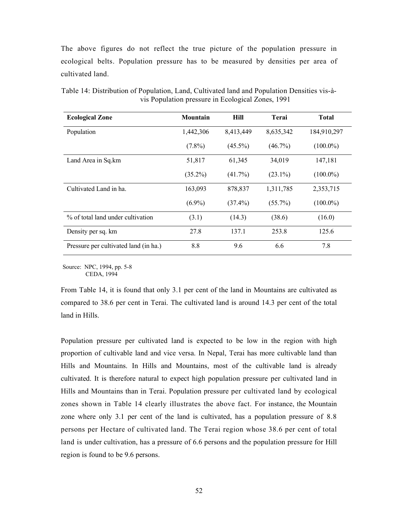The above figures do not reflect the true picture of the population pressure in ecological belts. Population pressure has to be measured by densities per area of cultivated land.

| <b>Ecological Zone</b>                | Mountain   | <b>Hill</b> | Terai      | <b>Total</b> |
|---------------------------------------|------------|-------------|------------|--------------|
| Population                            | 1,442,306  | 8,413,449   | 8,635,342  | 184,910,297  |
|                                       | $(7.8\%)$  | $(45.5\%)$  | $(46.7\%)$ | $(100.0\%)$  |
| Land Area in Sq.km                    | 51,817     | 61,345      | 34,019     | 147,181      |
|                                       | $(35.2\%)$ | $(41.7\%)$  | $(23.1\%)$ | $(100.0\%)$  |
| Cultivated Land in ha.                | 163,093    | 878,837     | 1,311,785  | 2,353,715    |
|                                       | $(6.9\%)$  | $(37.4\%)$  | $(55.7\%)$ | $(100.0\%)$  |
| % of total land under cultivation     | (3.1)      | (14.3)      | (38.6)     | (16.0)       |
| Density per sq. km                    | 27.8       | 137.1       | 253.8      | 125.6        |
| Pressure per cultivated land (in ha.) | 8.8        | 9.6         | 6.6        | 7.8          |

Table 14: Distribution of Population, Land, Cultivated land and Population Densities vis-àvis Population pressure in Ecological Zones, 1991

Source: NPC, 1994, pp. 5-8 CEDA, 1994

From Table 14, it is found that only 3.1 per cent of the land in Mountains are cultivated as compared to 38.6 per cent in Terai. The cultivated land is around 14.3 per cent of the total land in Hills.

Population pressure per cultivated land is expected to be low in the region with high proportion of cultivable land and vice versa. In Nepal, Terai has more cultivable land than Hills and Mountains. In Hills and Mountains, most of the cultivable land is already cultivated. It is therefore natural to expect high population pressure per cultivated land in Hills and Mountains than in Terai. Population pressure per cultivated land by ecological zones shown in Table 14 clearly illustrates the above fact. For instance, the Mountain zone where only 3.1 per cent of the land is cultivated, has a population pressure of 8.8 persons per Hectare of cultivated land. The Terai region whose 38.6 per cent of total land is under cultivation, has a pressure of 6.6 persons and the population pressure for Hill region is found to be 9.6 persons.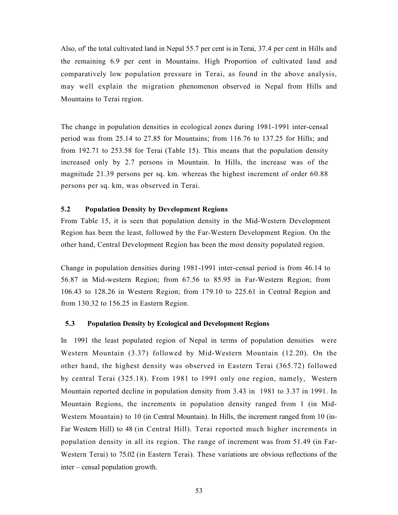Also, of' the total cultivated land in Nepal 55.7 per cent is in Terai, 37.4 per cent in Hills and the remaining 6.9 per cent in Mountains. High Proportion of cultivated land and comparatively low population pressure in Terai, as found in the above analysis, may well explain the migration phenomenon observed in Nepal from Hills and Mountains to Terai region.

The change in population densities in ecological zones during 1981-1991 inter-censal period was from 25.14 to 27.85 for Mountains; from 116.76 to 137.25 for Hills; and from 192.71 to 253.58 for Terai (Table 15). This means that the population density increased only by 2.7 persons in Mountain. In Hills, the increase was of the magnitude 21.39 persons per sq. km. whereas the highest increment of order 60.88 persons per sq. km, was observed in Terai.

# 5.2 Population Density by Development Regions

From Table 15, it is seen that population density in the Mid-Western Development Region has been the least, followed by the Far-Western Development Region. On the other hand, Central Development Region has been the most density populated region.

Change in population densities during 1981-1991 inter-censal period is from 46.14 to 56.87 in Mid-western Region; from 67.56 to 85.95 in Far-Western Region; from 106.43 to 128.26 in Western Region; from 179.10 to 225.61 in Central Region and from 130.32 to 156.25 in Eastern Region.

# 5.3 Population Density by Ecological and Development Regions

In 1991 the least populated region of Nepal in terms of population densities were Western Mountain (3.37) followed by Mid-Western Mountain (12.20). On the other hand, the highest density was observed in Eastern Terai (365.72) followed by central Terai (325.18). From 1981 to 1991 only one region, namely, Western Mountain reported decline in population density from 3.43 in 1981 to 3.37 in 1991. In Mountain Regions, the increments in population density ranged from 1 (in Mid-Western Mountain) to 10 (in Central Mountain). In Hills, the increment ranged from 10 (in-Far Western Hill) to 48 (in Central Hill). Terai reported much higher increments in population density in all its region. The range of increment was from 51.49 (in Far-Western Terai) to 75.02 (in Eastern Terai). These variations are obvious reflections of the inter – censal population growth.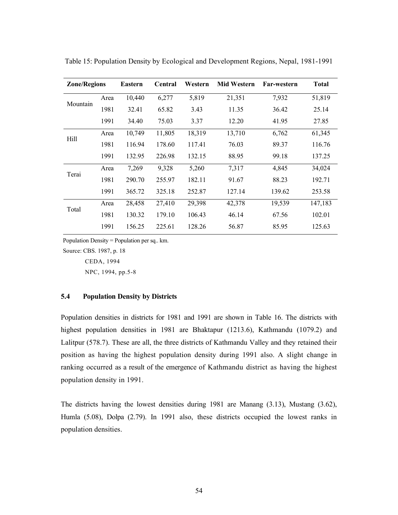| <b>Zone/Regions</b> |      | <b>Eastern</b> | Central | Western | <b>Mid Western</b> | <b>Far-western</b> | Total   |
|---------------------|------|----------------|---------|---------|--------------------|--------------------|---------|
|                     | Area | 10,440         | 6,277   | 5,819   | 21,351             | 7,932              | 51,819  |
| Mountain            | 1981 | 32.41          | 65.82   | 3.43    | 11.35              | 36.42              | 25.14   |
|                     | 1991 | 34.40          | 75.03   | 3.37    | 12.20              | 41.95              | 27.85   |
| Hill                | Area | 10,749         | 11,805  | 18,319  | 13,710             | 6,762              | 61,345  |
|                     | 1981 | 116.94         | 178.60  | 117.41  | 76.03              | 89.37              | 116.76  |
|                     | 1991 | 132.95         | 226.98  | 132.15  | 88.95              | 99.18              | 137.25  |
| Terai               | Area | 7,269          | 9,328   | 5,260   | 7,317              | 4,845              | 34,024  |
|                     | 1981 | 290.70         | 255.97  | 182.11  | 91.67              | 88.23              | 192.71  |
|                     | 1991 | 365.72         | 325.18  | 252.87  | 127.14             | 139.62             | 253.58  |
| Total               | Area | 28,458         | 27,410  | 29,398  | 42,378             | 19,539             | 147,183 |
|                     | 1981 | 130.32         | 179.10  | 106.43  | 46.14              | 67.56              | 102.01  |
|                     | 1991 | 156.25         | 225.61  | 128.26  | 56.87              | 85.95              | 125.63  |

Table 15: Population Density by Ecological and Development Regions, Nepal, 1981-1991

Population Density = Population per sq.. km.

Source: CBS. 1987, p. 18

CEDA, 1994

NPC, 1994, pp.5-8

# 5.4 Population Density by Districts

Population densities in districts for 1981 and 1991 are shown in Table 16. The districts with highest population densities in 1981 are Bhaktapur (1213.6), Kathmandu (1079.2) and Lalitpur (578.7). These are all, the three districts of Kathmandu Valley and they retained their position as having the highest population density during 1991 also. A slight change in ranking occurred as a result of the emergence of Kathmandu district as having the highest population density in 1991.

The districts having the lowest densities during 1981 are Manang (3.13), Mustang (3.62), Humla (5.08), Dolpa (2.79). In 1991 also, these districts occupied the lowest ranks in population densities.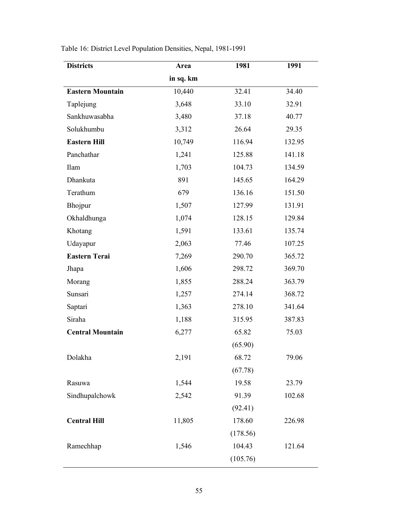| <b>Districts</b>        | Area      | 1981     | 1991   |
|-------------------------|-----------|----------|--------|
|                         | in sq. km |          |        |
| <b>Eastern Mountain</b> | 10,440    | 32.41    | 34.40  |
| Taplejung               | 3,648     | 33.10    | 32.91  |
| Sankhuwasabha           | 3,480     | 37.18    | 40.77  |
| Solukhumbu              | 3,312     | 26.64    | 29.35  |
| <b>Eastern Hill</b>     | 10,749    | 116.94   | 132.95 |
| Panchathar              | 1,241     | 125.88   | 141.18 |
| Ilam                    | 1,703     | 104.73   | 134.59 |
| Dhankuta                | 891       | 145.65   | 164.29 |
| Terathum                | 679       | 136.16   | 151.50 |
| Bhojpur                 | 1,507     | 127.99   | 131.91 |
| Okhaldhunga             | 1,074     | 128.15   | 129.84 |
| Khotang                 | 1,591     | 133.61   | 135.74 |
| Udayapur                | 2,063     | 77.46    | 107.25 |
| <b>Eastern Terai</b>    | 7,269     | 290.70   | 365.72 |
| Jhapa                   | 1,606     | 298.72   | 369.70 |
| Morang                  | 1,855     | 288.24   | 363.79 |
| Sunsari                 | 1,257     | 274.14   | 368.72 |
| Saptari                 | 1,363     | 278.10   | 341.64 |
| Siraha                  | 1,188     | 315.95   | 387.83 |
| <b>Central Mountain</b> | 6,277     | 65.82    | 75.03  |
|                         |           | (65.90)  |        |
| Dolakha                 | 2,191     | 68.72    | 79.06  |
|                         |           | (67.78)  |        |
| Rasuwa                  | 1,544     | 19.58    | 23.79  |
| Sindhupalchowk          | 2,542     | 91.39    | 102.68 |
|                         |           | (92.41)  |        |
| <b>Central Hill</b>     | 11,805    | 178.60   | 226.98 |
|                         |           | (178.56) |        |
| Ramechhap               | 1,546     | 104.43   | 121.64 |
|                         |           | (105.76) |        |

Table 16: District Level Population Densities, Nepal, 1981-1991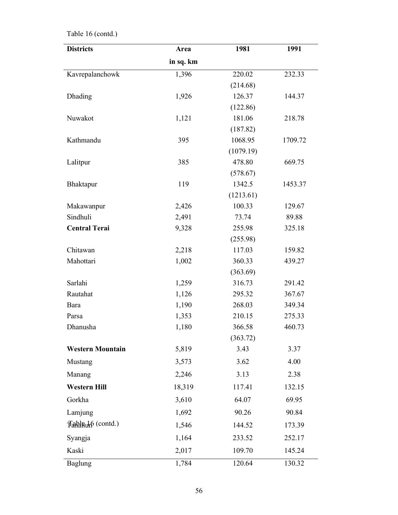| <b>Districts</b>        | Area      | 1981      | 1991    |
|-------------------------|-----------|-----------|---------|
|                         | in sq. km |           |         |
| Kavrepalanchowk         | 1,396     | 220.02    | 232.33  |
|                         |           | (214.68)  |         |
| Dhading                 | 1,926     | 126.37    | 144.37  |
|                         |           | (122.86)  |         |
| Nuwakot                 | 1,121     | 181.06    | 218.78  |
|                         |           | (187.82)  |         |
| Kathmandu               | 395       | 1068.95   | 1709.72 |
|                         |           | (1079.19) |         |
| Lalitpur                | 385       | 478.80    | 669.75  |
|                         |           | (578.67)  |         |
| Bhaktapur               | 119       | 1342.5    | 1453.37 |
|                         |           | (1213.61) |         |
| Makawanpur              | 2,426     | 100.33    | 129.67  |
| Sindhuli                | 2,491     | 73.74     | 89.88   |
| <b>Central Terai</b>    | 9,328     | 255.98    | 325.18  |
|                         |           | (255.98)  |         |
| Chitawan                | 2,218     | 117.03    | 159.82  |
| Mahottari               | 1,002     | 360.33    | 439.27  |
|                         |           | (363.69)  |         |
| Sarlahi                 | 1,259     | 316.73    | 291.42  |
| Rautahat                | 1,126     | 295.32    | 367.67  |
| Bara                    | 1,190     | 268.03    | 349.34  |
| Parsa                   | 1,353     | 210.15    | 275.33  |
| Dhanusha                | 1,180     | 366.58    | 460.73  |
|                         |           | (363.72)  |         |
| <b>Western Mountain</b> | 5,819     | 3.43      | 3.37    |
| Mustang                 | 3,573     | 3.62      | 4.00    |
| Manang                  | 2,246     | 3.13      | 2.38    |
| <b>Western Hill</b>     | 18,319    | 117.41    | 132.15  |
| Gorkha                  | 3,610     | 64.07     | 69.95   |
| Lamjung                 | 1,692     | 90.26     | 90.84   |
| Tablauh (contd.)        | 1,546     | 144.52    | 173.39  |
| Syangja                 | 1,164     | 233.52    | 252.17  |
| Kaski                   | 2,017     | 109.70    | 145.24  |
| <b>Baglung</b>          | 1,784     | 120.64    | 130.32  |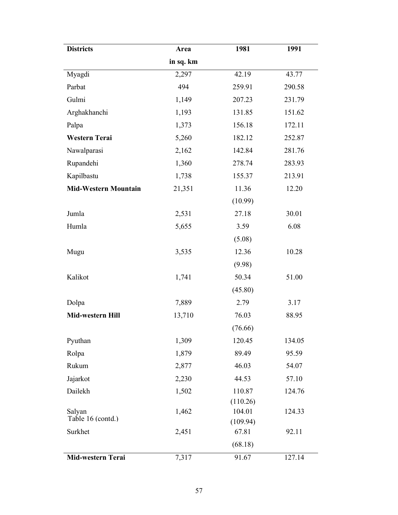| <b>Districts</b>            | Area      | 1981               | 1991   |
|-----------------------------|-----------|--------------------|--------|
|                             | in sq. km |                    |        |
| Myagdi                      | 2,297     | 42.19              | 43.77  |
| Parbat                      | 494       | 259.91             | 290.58 |
| Gulmi                       | 1,149     | 207.23             | 231.79 |
| Arghakhanchi                | 1,193     | 131.85             | 151.62 |
| Palpa                       | 1,373     | 156.18             | 172.11 |
| Western Terai               | 5,260     | 182.12             | 252.87 |
| Nawalparasi                 | 2,162     | 142.84             | 281.76 |
| Rupandehi                   | 1,360     | 278.74             | 283.93 |
| Kapilbastu                  | 1,738     | 155.37             | 213.91 |
| <b>Mid-Western Mountain</b> | 21,351    | 11.36              | 12.20  |
|                             |           | (10.99)            |        |
| Jumla                       | 2,531     | 27.18              | 30.01  |
| Humla                       | 5,655     | 3.59               | 6.08   |
|                             |           | (5.08)             |        |
| Mugu                        | 3,535     | 12.36              | 10.28  |
|                             |           | (9.98)             |        |
| Kalikot                     | 1,741     | 50.34              | 51.00  |
|                             |           | (45.80)            |        |
| Dolpa                       | 7,889     | 2.79               | 3.17   |
| Mid-western Hill            | 13,710    | 76.03              | 88.95  |
|                             |           | (76.66)            |        |
| Pyuthan                     | 1,309     | 120.45             | 134.05 |
| Rolpa                       | 1,879     | 89.49              | 95.59  |
| Rukum                       | 2,877     | 46.03              | 54.07  |
| Jajarkot                    | 2,230     | 44.53              | 57.10  |
| Dailekh                     | 1,502     | 110.87             | 124.76 |
|                             |           | (110.26)           |        |
| Salyan<br>Table 16 (contd.) | 1,462     | 104.01<br>(109.94) | 124.33 |
| Surkhet                     | 2,451     | 67.81              | 92.11  |
|                             |           | (68.18)            |        |
| Mid-western Terai           | 7,317     | 91.67              | 127.14 |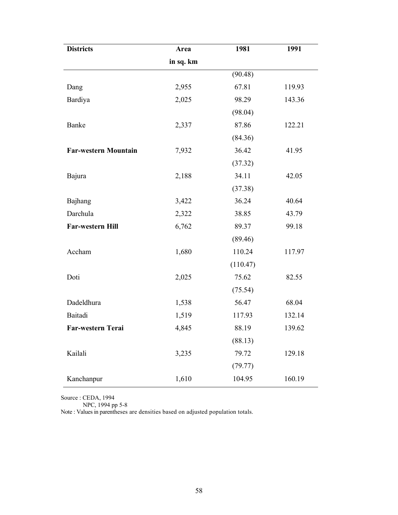| <b>Districts</b>            | Area      | 1981     | 1991   |
|-----------------------------|-----------|----------|--------|
|                             | in sq. km |          |        |
|                             |           | (90.48)  |        |
| Dang                        | 2,955     | 67.81    | 119.93 |
| Bardiya                     | 2,025     | 98.29    | 143.36 |
|                             |           | (98.04)  |        |
| Banke                       | 2,337     | 87.86    | 122.21 |
|                             |           | (84.36)  |        |
| <b>Far-western Mountain</b> | 7,932     | 36.42    | 41.95  |
|                             |           | (37.32)  |        |
| Bajura                      | 2,188     | 34.11    | 42.05  |
|                             |           | (37.38)  |        |
| Bajhang                     | 3,422     | 36.24    | 40.64  |
| Darchula                    | 2,322     | 38.85    | 43.79  |
| Far-western Hill            | 6,762     | 89.37    | 99.18  |
|                             |           | (89.46)  |        |
| Accham                      | 1,680     | 110.24   | 117.97 |
|                             |           | (110.47) |        |
| Doti                        | 2,025     | 75.62    | 82.55  |
|                             |           | (75.54)  |        |
| Dadeldhura                  | 1,538     | 56.47    | 68.04  |
| Baitadi                     | 1,519     | 117.93   | 132.14 |
| <b>Far-western Terai</b>    | 4,845     | 88.19    | 139.62 |
|                             |           | (88.13)  |        |
| Kailali                     | 3,235     | 79.72    | 129.18 |
|                             |           | (79.77)  |        |
| Kanchanpur                  | 1,610     | 104.95   | 160.19 |

Source : CEDA, 1994

NPC, 1994 pp 5-8

Note : Values in parentheses are densities based on adjusted population totals.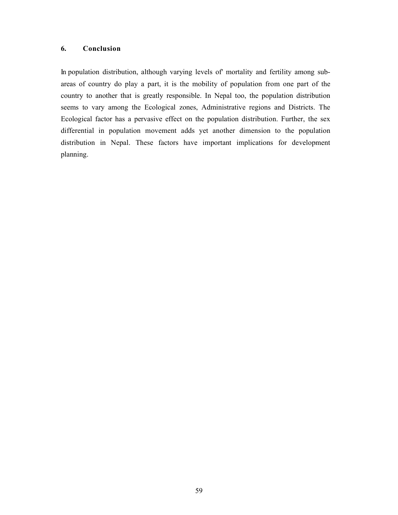# 6. Conclusion

In population distribution, although varying levels of' mortality and fertility among subareas of country do play a part, it is the mobility of population from one part of the country to another that is greatly responsible. In Nepal too, the population distribution seems to vary among the Ecological zones, Administrative regions and Districts. The Ecological factor has a pervasive effect on the population distribution. Further, the sex differential in population movement adds yet another dimension to the population distribution in Nepal. These factors have important implications for development planning.